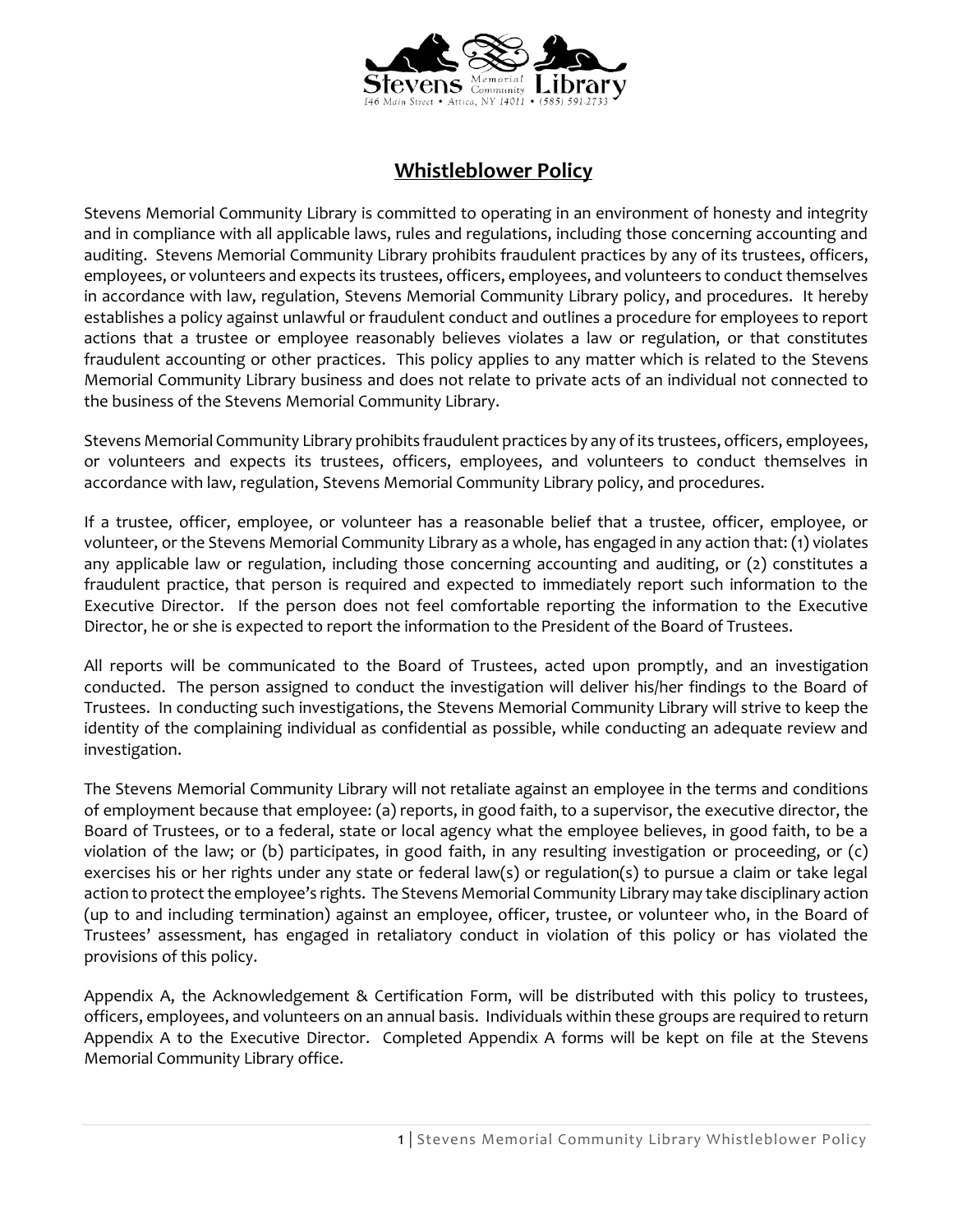

## **Whistleblower Policy**

Stevens Memorial Community Library is committed to operating in an environment of honesty and integrity and in compliance with all applicable laws, rules and regulations, including those concerning accounting and auditing. Stevens Memorial Community Library prohibits fraudulent practices by any of its trustees, officers, employees, or volunteers and expects its trustees, officers, employees, and volunteers to conduct themselves in accordance with law, regulation, Stevens Memorial Community Library policy, and procedures. It hereby establishes a policy against unlawful or fraudulent conduct and outlines a procedure for employees to report actions that a trustee or employee reasonably believes violates a law or regulation, or that constitutes fraudulent accounting or other practices. This policy applies to any matter which is related to the Stevens Memorial Community Library business and does not relate to private acts of an individual not connected to the business of the Stevens Memorial Community Library.

Stevens Memorial Community Library prohibits fraudulent practices by any of its trustees, officers, employees, or volunteers and expects its trustees, officers, employees, and volunteers to conduct themselves in accordance with law, regulation, Stevens Memorial Community Library policy, and procedures.

If a trustee, officer, employee, or volunteer has a reasonable belief that a trustee, officer, employee, or volunteer, or the Stevens Memorial Community Library as a whole, has engaged in any action that: (1) violates any applicable law or regulation, including those concerning accounting and auditing, or (2) constitutes a fraudulent practice, that person is required and expected to immediately report such information to the Executive Director. If the person does not feel comfortable reporting the information to the Executive Director, he or she is expected to report the information to the President of the Board of Trustees.

All reports will be communicated to the Board of Trustees, acted upon promptly, and an investigation conducted. The person assigned to conduct the investigation will deliver his/her findings to the Board of Trustees. In conducting such investigations, the Stevens Memorial Community Library will strive to keep the identity of the complaining individual as confidential as possible, while conducting an adequate review and investigation.

The Stevens Memorial Community Library will not retaliate against an employee in the terms and conditions of employment because that employee: (a) reports, in good faith, to a supervisor, the executive director, the Board of Trustees, or to a federal, state or local agency what the employee believes, in good faith, to be a violation of the law; or (b) participates, in good faith, in any resulting investigation or proceeding, or (c) exercises his or her rights under any state or federal law(s) or regulation(s) to pursue a claim or take legal action to protect the employee's rights. The Stevens Memorial Community Library may take disciplinary action (up to and including termination) against an employee, officer, trustee, or volunteer who, in the Board of Trustees' assessment, has engaged in retaliatory conduct in violation of this policy or has violated the provisions of this policy.

Appendix A, the Acknowledgement & Certification Form, will be distributed with this policy to trustees, officers, employees, and volunteers on an annual basis. Individuals within these groups are required to return Appendix A to the Executive Director. Completed Appendix A forms will be kept on file at the Stevens Memorial Community Library office.